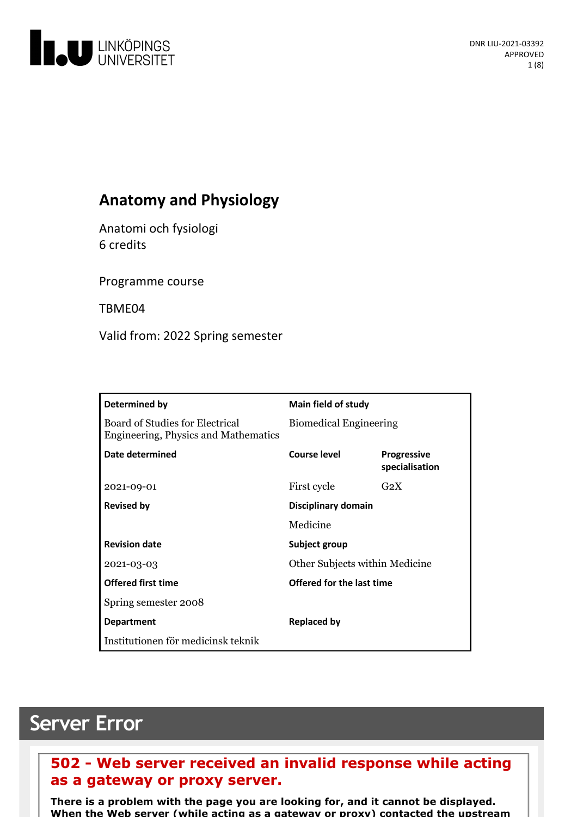

# **Anatomy and Physiology**

Anatomi och fysiologi 6 credits

Programme course

TBME04

Valid from: 2022 Spring semester

| Determined by                                                           | Main field of study            |                                      |
|-------------------------------------------------------------------------|--------------------------------|--------------------------------------|
| Board of Studies for Electrical<br>Engineering, Physics and Mathematics | <b>Biomedical Engineering</b>  |                                      |
| Date determined                                                         | Course level                   | <b>Progressive</b><br>specialisation |
| 2021-09-01                                                              | First cycle                    | G <sub>2</sub> X                     |
| <b>Revised by</b>                                                       | Disciplinary domain            |                                      |
|                                                                         | Medicine                       |                                      |
| <b>Revision date</b>                                                    | Subject group                  |                                      |
| 2021-03-03                                                              | Other Subjects within Medicine |                                      |
| <b>Offered first time</b>                                               | Offered for the last time      |                                      |
| Spring semester 2008                                                    |                                |                                      |
| <b>Department</b>                                                       | <b>Replaced by</b>             |                                      |
| Institutionen för medicinsk teknik                                      |                                |                                      |

# **Server Error**

## **502 - Web server received an invalid response while acting as a gateway or proxy server.**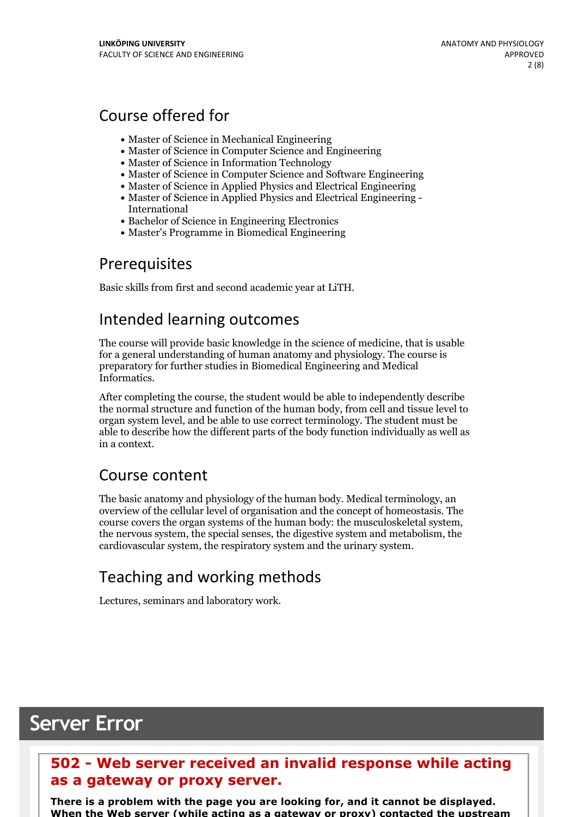# Course offered for

- Master of Science in Mechanical Engineering
- Master of Science in Computer Science and Engineering
- Master of Science in Information Technology
- Master of Science in Computer Science and Software Engineering
- Master of Science in Applied Physics and Electrical Engineering
- Master of Science in Applied Physics and Electrical Engineering International
- Bachelor of Science in Engineering Electronics
- Master's Programme in Biomedical Engineering

## Prerequisites

Basic skills from first and second academic year at LiTH.

## Intended learning outcomes

The course will provide basic knowledge in the science of medicine, that is usable for a general understanding of human anatomy and physiology. The course is preparatory for further studies in Biomedical Engineering and Medical Informatics.

After completing the course, the student would be able to independently describe the normal structure and function of the human body, from cell and tissue level to organ system level, and be able to use correct terminology. The student must be able to describe how the different parts of the body function individually as well as in a context.

## Course content

The basic anatomy and physiology of the human body. Medical terminology, an overview of the cellular level of organisation and the concept of homeostasis. The course covers the organ systems of the human body: the musculoskeletal system, the nervous system, the special senses, the digestive system and metabolism, the cardiovascular system, the respiratory system and the urinary system.

# Teaching and working methods

Lectures, seminars and laboratory work.

# **Server Error**

## **502 - Web server received an invalid response while acting as a gateway or proxy server.**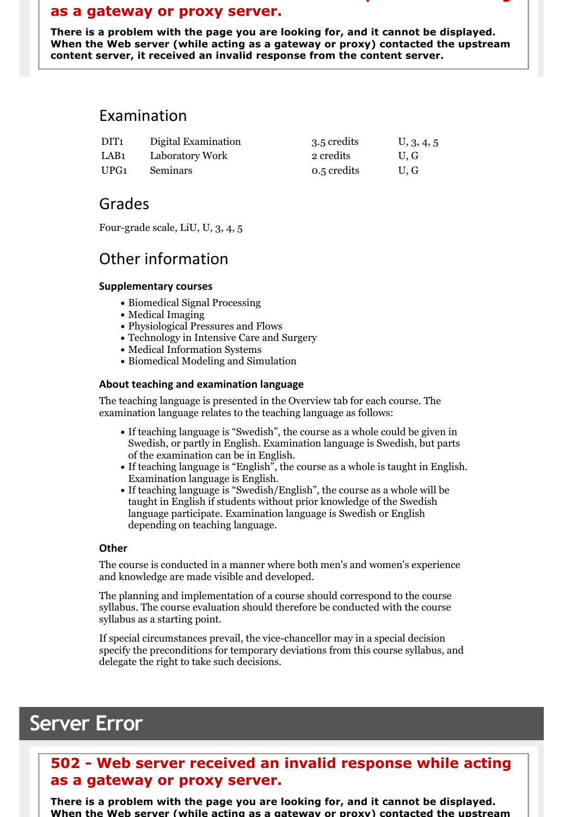## **as a gateway or proxy server.**

There is a problem with the page you are looking for, and it cannot be displayed.<br>When the Web server (while acting as a gateway or proxy) contacted the upstream **content server, it received an invalid response from the content server.**

**502 - Web server received an invalid response while acting**

## Examination

| DIT <sub>1</sub> | Digital Examination | 3.5 credits | U, 3, 4, 5 |
|------------------|---------------------|-------------|------------|
| LAB <sub>1</sub> | Laboratory Work     | 2 credits   | U.G        |
| UPG1             | <b>Seminars</b>     | 0.5 credits | U.G        |

## Grades

Four-grade scale, LiU, U, 3, 4, 5

# Other information

### **Supplementarycourses**

- Biomedical Signal Processing
- Medical Imaging
- Physiological Pressures and Flows
- Technology in Intensive Care and Surgery
- Medical Information Systems
- Biomedical Modeling and Simulation

### **About teaching and examination language**

The teaching language is presented in the Overview tab for each course. The examination language relates to the teaching language as follows:

- If teaching language is "Swedish", the course as a whole could be given in Swedish, or partly in English. Examination language is Swedish, but parts
- of the examination can be in English. If teaching language is "English", the course as <sup>a</sup> whole is taught in English. Examination language is English. If teaching language is "Swedish/English", the course as <sup>a</sup> whole will be
- taught in English if students without prior knowledge of the Swedish language participate. Examination language is Swedish or English depending on teaching language.

### **Other**

The course is conducted in a manner where both men's and women's experience and knowledge are made visible and developed.

The planning and implementation of a course should correspond to the course syllabus. The course evaluation should therefore be conducted with the course syllabus as a starting point.

If special circumstances prevail, the vice-chancellor may in a special decision specify the preconditions for temporary deviations from this course syllabus, and delegate the right to take such decisions.

# **Server Error**

## **502 - Web server received an invalid response while acting as a gateway or proxy server.**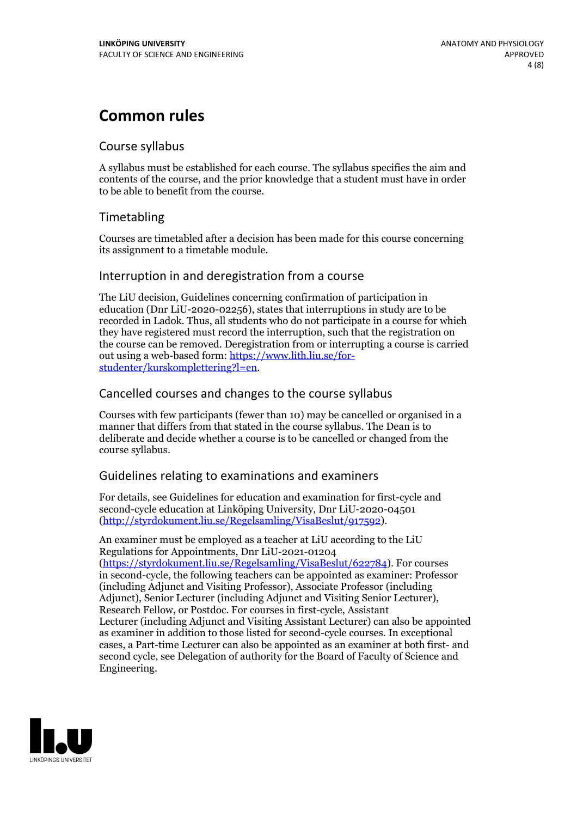# **Common rules**

### Course syllabus

A syllabus must be established for each course. The syllabus specifies the aim and contents of the course, and the prior knowledge that a student must have in order to be able to benefit from the course.

### Timetabling

Courses are timetabled after a decision has been made for this course concerning its assignment to a timetable module.

### Interruption in and deregistration from a course

The LiU decision, Guidelines concerning confirmation of participation in education (Dnr LiU-2020-02256), states that interruptions in study are to be recorded in Ladok. Thus, all students who do not participate in a course for which they have registered must record the interruption, such that the registration on the course can be removed. Deregistration from or interrupting a course is carried out using <sup>a</sup> web-based form: https://www.lith.liu.se/for- [studenter/kurskomplettering?l=en.](https://www.lith.liu.se/for-studenter/kurskomplettering?l=en)

### Cancelled courses and changes to the course syllabus

Courses with few participants (fewer than 10) may be cancelled or organised in a manner that differs from that stated in the course syllabus. The Dean is to deliberate and decide whether a course is to be cancelled or changed from the course syllabus.

### Guidelines relating to examinations and examiners

For details, see Guidelines for education and examination for first-cycle and second-cycle education at Linköping University, Dnr LiU-2020-04501 [\(http://styrdokument.liu.se/Regelsamling/VisaBeslut/917592\)](http://styrdokument.liu.se/Regelsamling/VisaBeslut/917592).

An examiner must be employed as a teacher at LiU according to the LiU Regulations for Appointments, Dnr LiU-2021-01204 [\(https://styrdokument.liu.se/Regelsamling/VisaBeslut/622784](https://styrdokument.liu.se/Regelsamling/VisaBeslut/622784)). For courses in second-cycle, the following teachers can be appointed as examiner: Professor (including Adjunct and Visiting Professor), Associate Professor (including Adjunct), Senior Lecturer (including Adjunct and Visiting Senior Lecturer), Research Fellow, or Postdoc. For courses in first-cycle, Assistant Lecturer (including Adjunct and Visiting Assistant Lecturer) can also be appointed as examiner in addition to those listed for second-cycle courses. In exceptional cases, a Part-time Lecturer can also be appointed as an examiner at both first- and second cycle, see Delegation of authority for the Board of Faculty of Science and Engineering.

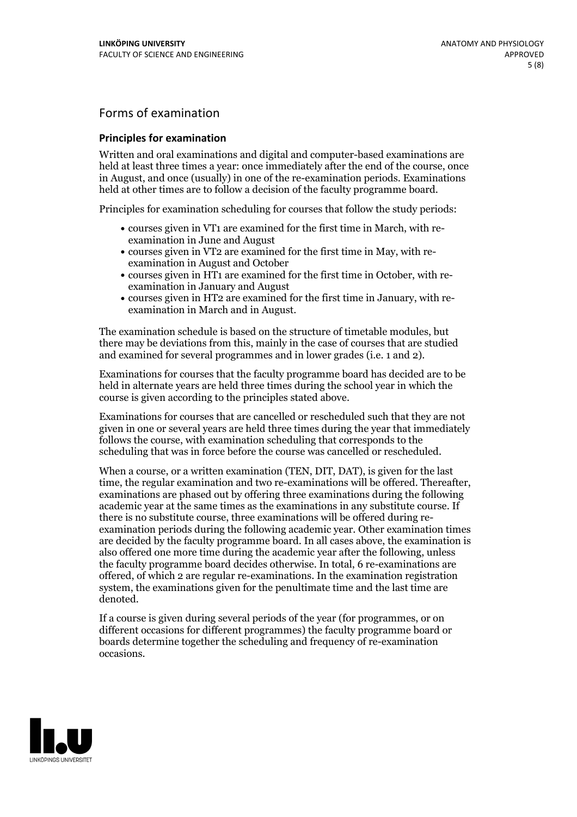### Forms of examination

#### **Principles for examination**

Written and oral examinations and digital and computer-based examinations are held at least three times a year: once immediately after the end of the course, once in August, and once (usually) in one of the re-examination periods. Examinations held at other times are to follow a decision of the faculty programme board.

Principles for examination scheduling for courses that follow the study periods:

- courses given in VT1 are examined for the first time in March, with re-examination in June and August
- courses given in VT2 are examined for the first time in May, with re-examination in August and October
- courses given in HT1 are examined for the first time in October, with re-examination in January and August
- courses given in HT2 are examined for the first time in January, with re-examination in March and in August.

The examination schedule is based on the structure of timetable modules, but there may be deviations from this, mainly in the case of courses that are studied and examined for several programmes and in lower grades (i.e. 1 and 2).

Examinations for courses that the faculty programme board has decided are to be held in alternate years are held three times during the school year in which the course is given according to the principles stated above.

Examinations for courses that are cancelled orrescheduled such that they are not given in one or several years are held three times during the year that immediately follows the course, with examination scheduling that corresponds to the scheduling that was in force before the course was cancelled or rescheduled.

When a course, or a written examination (TEN, DIT, DAT), is given for the last time, the regular examination and two re-examinations will be offered. Thereafter, examinations are phased out by offering three examinations during the following academic year at the same times as the examinations in any substitute course. If there is no substitute course, three examinations will be offered during re- examination periods during the following academic year. Other examination times are decided by the faculty programme board. In all cases above, the examination is also offered one more time during the academic year after the following, unless the faculty programme board decides otherwise. In total, 6 re-examinations are offered, of which 2 are regular re-examinations. In the examination registration system, the examinations given for the penultimate time and the last time are denoted.

If a course is given during several periods of the year (for programmes, or on different occasions for different programmes) the faculty programme board or boards determine together the scheduling and frequency of re-examination occasions.

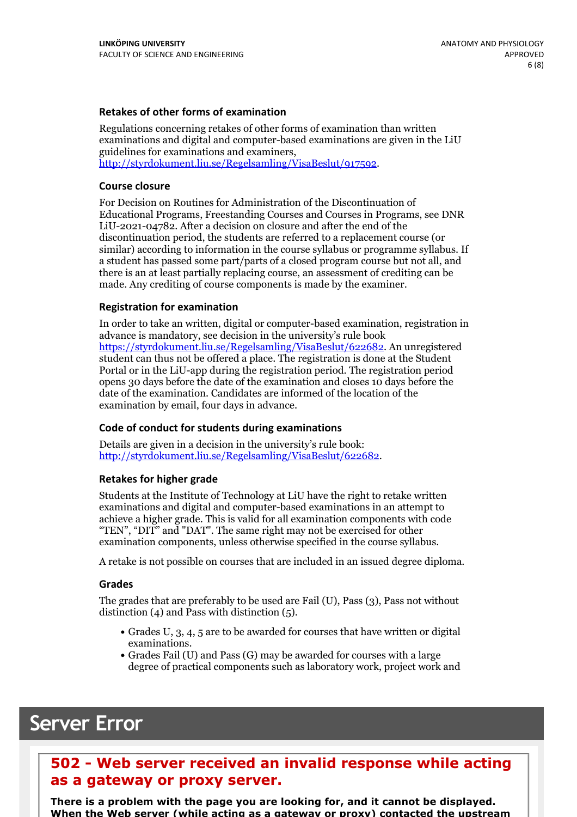### **Retakes of other forms of examination**

Regulations concerning retakes of other forms of examination than written examinations and digital and computer-based examinations are given in the LiU guidelines for examinations and examiners, [http://styrdokument.liu.se/Regelsamling/VisaBeslut/917592.](http://styrdokument.liu.se/Regelsamling/VisaBeslut/917592)

#### **Course closure**

For Decision on Routines for Administration of the Discontinuation of Educational Programs, Freestanding Courses and Courses in Programs, see DNR LiU-2021-04782. After a decision on closure and after the end of the discontinuation period, the students are referred to a replacement course (or similar) according to information in the course syllabus or programme syllabus. If a student has passed some part/parts of a closed program course but not all, and there is an at least partially replacing course, an assessment of crediting can be made. Any crediting of course components is made by the examiner.

#### **Registration for examination**

In order to take an written, digital or computer-based examination, registration in advance is mandatory, see decision in the university's rule book [https://styrdokument.liu.se/Regelsamling/VisaBeslut/622682.](https://styrdokument.liu.se/Regelsamling/VisaBeslut/622682) An unregistered student can thus not be offered a place. The registration is done at the Student Portal or in the LiU-app during the registration period. The registration period opens 30 days before the date of the examination and closes 10 days before the date of the examination. Candidates are informed of the location of the examination by email, four days in advance.

#### **Code of conduct for students during examinations**

Details are given in a decision in the university's rule book: <http://styrdokument.liu.se/Regelsamling/VisaBeslut/622682>.

#### **Retakes for higher grade**

Students at the Institute of Technology at LiU have the right to retake written examinations and digital and computer-based examinations in an attempt to achieve a higher grade. This is valid for all examination components with code "TEN", "DIT" and "DAT". The same right may not be exercised for other examination components, unless otherwise specified in the course syllabus.

A retake is not possible on courses that are included in an issued degree diploma.

#### **Grades**

The grades that are preferably to be used are Fail (U), Pass (3), Pass not without distinction  $(4)$  and Pass with distinction  $(5)$ .

- Grades U, 3, 4, 5 are to be awarded for courses that have written or digital examinations.<br>• Grades Fail (U) and Pass (G) may be awarded for courses with a large
- degree of practical components such as laboratory work, project work and

# **Server Error**

## **502 - Web server received an invalid response while acting as a gateway or proxy server.**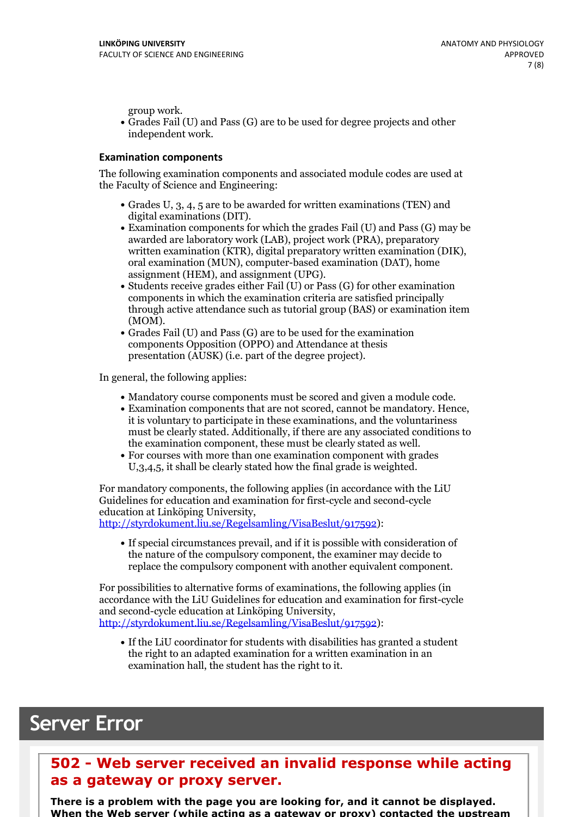group work.<br>• Grades Fail (U) and Pass (G) are to be used for degree projects and other independent work.

#### **Examination components**

The following examination components and associated module codes are used at the Faculty of Science and Engineering:

- Grades U, 3, 4, 5 are to be awarded for written examinations (TEN) and digital examinations (DIT).<br>• Examination components for which the grades Fail (U) and Pass (G) may be
- awarded are laboratory work (LAB), project work (PRA), preparatory written examination (KTR), digital preparatory written examination (DIK), oral examination (MUN), computer-based examination (DAT), home
- assignment (HEM), and assignment (UPG).<br>• Students receive grades either Fail (U) or Pass (G) for other examination components in which the examination criteria are satisfied principally through active attendance such as tutorial group (BAS) or examination item
- (MOM).<br>• Grades Fail (U) and Pass (G) are to be used for the examination components Opposition (OPPO) and Attendance at thesis presentation (AUSK) (i.e. part of the degree project).

In general, the following applies:

- 
- Mandatory course components must be scored and given <sup>a</sup> module code. Examination components that are not scored, cannot be mandatory. Hence, it is voluntary to participate in these examinations, and the voluntariness must be clearly stated. Additionally, if there are any associated conditions to
- the examination component, these must be clearly stated as well.<br>• For courses with more than one examination component with grades U,3,4,5, it shall be clearly stated how the final grade is weighted.

For mandatory components, the following applies (in accordance with the LiU Guidelines for education and examination for first-cycle and second-cycle

[http://styrdokument.liu.se/Regelsamling/VisaBeslut/917592\)](http://styrdokument.liu.se/Regelsamling/VisaBeslut/917592):

If special circumstances prevail, and if it is possible with consideration of the nature of the compulsory component, the examiner may decide to replace the compulsory component with another equivalent component.

For possibilities to alternative forms of examinations, the following applies (in accordance with the LiU Guidelines for education and examination for first-cycle [http://styrdokument.liu.se/Regelsamling/VisaBeslut/917592\)](http://styrdokument.liu.se/Regelsamling/VisaBeslut/917592):

If the LiU coordinator for students with disabilities has granted a student the right to an adapted examination for a written examination in an examination hall, the student has the right to it.

# **Server Error**

## **502 - Web server received an invalid response while acting as a gateway or proxy server.**